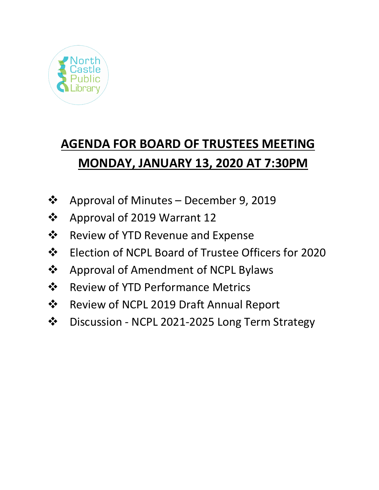

# **AGENDA FOR BOARD OF TRUSTEES MEETING MONDAY, JANUARY 13, 2020 AT 7:30PM**

- $\div$  Approval of Minutes December 9, 2019
- ❖ Approval of 2019 Warrant 12
- ❖ Review of YTD Revenue and Expense
- Election of NCPL Board of Trustee Officers for 2020
- ❖ Approval of Amendment of NCPL Bylaws
- ❖ Review of YTD Performance Metrics
- Review of NCPL 2019 Draft Annual Report
- Discussion NCPL 2021-2025 Long Term Strategy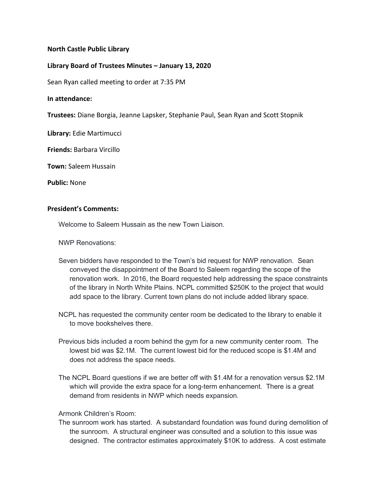## **North Castle Public Library**

## **Library Board of Trustees Minutes – January 13, 2020**

Sean Ryan called meeting to order at 7:35 PM

## **In attendance:**

**Trustees:** Diane Borgia, Jeanne Lapsker, Stephanie Paul, Sean Ryan and Scott Stopnik

**Library:** Edie Martimucci

**Friends:** Barbara Vircillo

**Town:** Saleem Hussain

**Public:** None

## **President's Comments:**

Welcome to Saleem Hussain as the new Town Liaison.

NWP Renovations:

- Seven bidders have responded to the Town's bid request for NWP renovation. Sean conveyed the disappointment of the Board to Saleem regarding the scope of the renovation work. In 2016, the Board requested help addressing the space constraints of the library in North White Plains. NCPL committed \$250K to the project that would add space to the library. Current town plans do not include added library space.
- NCPL has requested the community center room be dedicated to the library to enable it to move bookshelves there.
- Previous bids included a room behind the gym for a new community center room. The lowest bid was \$2.1M. The current lowest bid for the reduced scope is \$1.4M and does not address the space needs.
- The NCPL Board questions if we are better off with \$1.4M for a renovation versus \$2.1M which will provide the extra space for a long-term enhancement. There is a great demand from residents in NWP which needs expansion.

Armonk Children's Room:

The sunroom work has started. A substandard foundation was found during demolition of the sunroom. A structural engineer was consulted and a solution to this issue was designed. The contractor estimates approximately \$10K to address. A cost estimate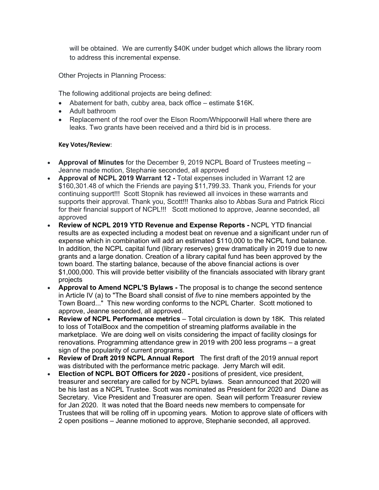will be obtained. We are currently \$40K under budget which allows the library room to address this incremental expense.

Other Projects in Planning Process:

The following additional projects are being defined:

- Abatement for bath, cubby area, back office estimate \$16K.
- Adult bathroom
- Replacement of the roof over the Elson Room/Whippoorwill Hall where there are leaks. Two grants have been received and a third bid is in process.

### **Key Votes/Review**:

- **Approval of Minutes** for the December 9, 2019 NCPL Board of Trustees meeting Jeanne made motion, Stephanie seconded, all approved
- **Approval of NCPL 2019 Warrant 12 -** Total expenses included in Warrant 12 are \$160,301.48 of which the Friends are paying \$11,799.33. Thank you, Friends for your continuing support!!! Scott Stopnik has reviewed all invoices in these warrants and supports their approval. Thank you, Scott!!! Thanks also to Abbas Sura and Patrick Ricci for their financial support of NCPL!!! Scott motioned to approve, Jeanne seconded, all approved
- **Review of NCPL 2019 YTD Revenue and Expense Reports -** NCPL YTD financial results are as expected including a modest beat on revenue and a significant under run of expense which in combination will add an estimated \$110,000 to the NCPL fund balance. In addition, the NCPL capital fund (library reserves) grew dramatically in 2019 due to new grants and a large donation. Creation of a library capital fund has been approved by the town board. The starting balance, because of the above financial actions is over \$1,000,000. This will provide better visibility of the financials associated with library grant projects
- **Approval to Amend NCPL'S Bylaws -** The proposal is to change the second sentence in Article IV (a) to "The Board shall consist of *five* to nine members appointed by the Town Board..." This new wording conforms to the NCPL Charter. Scott motioned to approve, Jeanne seconded, all approved.
- **Review of NCPL Performance metrics** Total circulation is down by 18K. This related to loss of TotalBoox and the competition of streaming platforms available in the marketplace. We are doing well on visits considering the impact of facility closings for renovations. Programming attendance grew in 2019 with 200 less programs – a great sign of the popularity of current programs.
- **Review of Draft 2019 NCPL Annual Report** The first draft of the 2019 annual report was distributed with the performance metric package. Jerry March will edit.
- **Election of NCPL BOT Officers for 2020 -** positions of president, vice president, treasurer and secretary are called for by NCPL bylaws. Sean announced that 2020 will be his last as a NCPL Trustee. Scott was nominated as President for 2020 and Diane as Secretary. Vice President and Treasurer are open. Sean will perform Treasurer review for Jan 2020. It was noted that the Board needs new members to compensate for Trustees that will be rolling off in upcoming years. Motion to approve slate of officers with 2 open positions – Jeanne motioned to approve, Stephanie seconded, all approved.